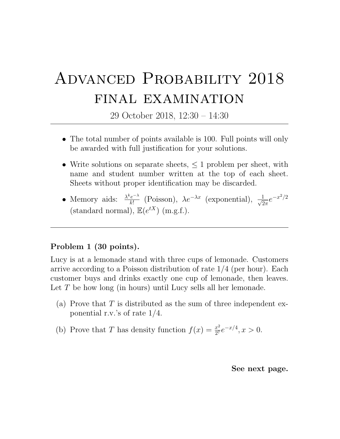## Advanced Probability 2018 final examination

29 October 2018, 12:30 – 14:30

- The total number of points available is 100. Full points will only be awarded with full justification for your solutions.
- Write solutions on separate sheets,  $\leq 1$  problem per sheet, with name and student number written at the top of each sheet. Sheets without proper identification may be discarded.
- Memory aids:  $\frac{\lambda^k e^{-\lambda}}{k!}$  $\frac{e^{-\lambda}}{k!}$  (Poisson),  $\lambda e^{-\lambda x}$  (exponential),  $\frac{1}{\sqrt{2}}$  $\frac{1}{2\pi}e^{-x^2/2}$ (standard normal),  $\mathbb{E}(e^{tX})$  (m.g.f.).

## Problem 1 (30 points).

Lucy is at a lemonade stand with three cups of lemonade. Customers arrive according to a Poisson distribution of rate 1/4 (per hour). Each customer buys and drinks exactly one cup of lemonade, then leaves. Let T be how long (in hours) until Lucy sells all her lemonade.

- (a) Prove that  $T$  is distributed as the sum of three independent exponential r.v.'s of rate 1/4.
- (b) Prove that T has density function  $f(x) = \frac{x^2}{27}$  $\frac{x^2}{2^7}e^{-x/4}, x > 0.$

See next page.